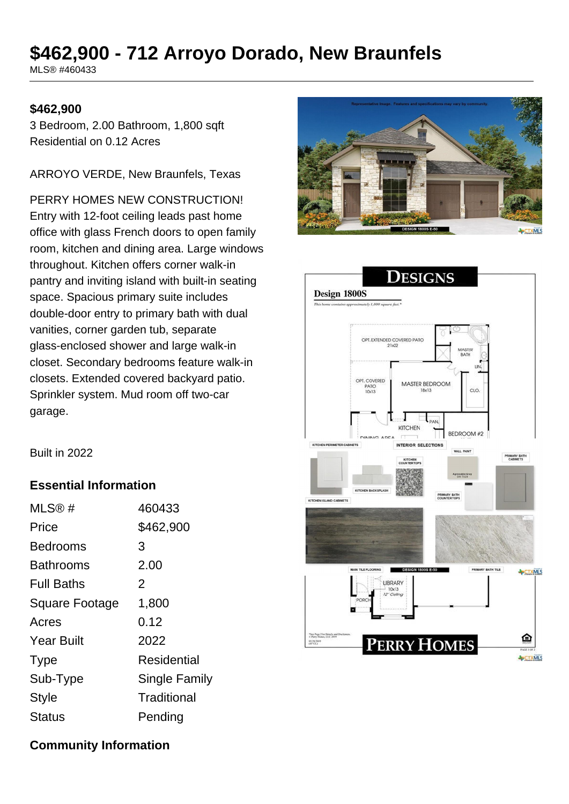# **\$462,900 - 712 Arroyo Dorado, New Braunfels**

MLS® #460433

#### **\$462,900**

3 Bedroom, 2.00 Bathroom, 1,800 sqft Residential on 0.12 Acres

ARROYO VERDE, New Braunfels, Texas

PERRY HOMES NEW CONSTRUCTION! Entry with 12-foot ceiling leads past home office with glass French doors to open family room, kitchen and dining area. Large windows throughout. Kitchen offers corner walk-in pantry and inviting island with built-in seating space. Spacious primary suite includes double-door entry to primary bath with dual vanities, corner garden tub, separate glass-enclosed shower and large walk-in closet. Secondary bedrooms feature walk-in closets. Extended covered backyard patio. Sprinkler system. Mud room off two-car garage.





Built in 2022

### **Essential Information**

| MLS@#                 | 460433               |
|-----------------------|----------------------|
| Price                 | \$462,900            |
| Bedrooms              | 3                    |
| Bathrooms             | 2.00                 |
| <b>Full Baths</b>     | $\overline{2}$       |
| <b>Square Footage</b> | 1,800                |
| Acres                 | 0.12                 |
| <b>Year Built</b>     | 2022                 |
| <b>Type</b>           | Residential          |
| Sub-Type              | <b>Single Family</b> |
| <b>Style</b>          | Traditional          |
| Status                | Pending              |

**Community Information**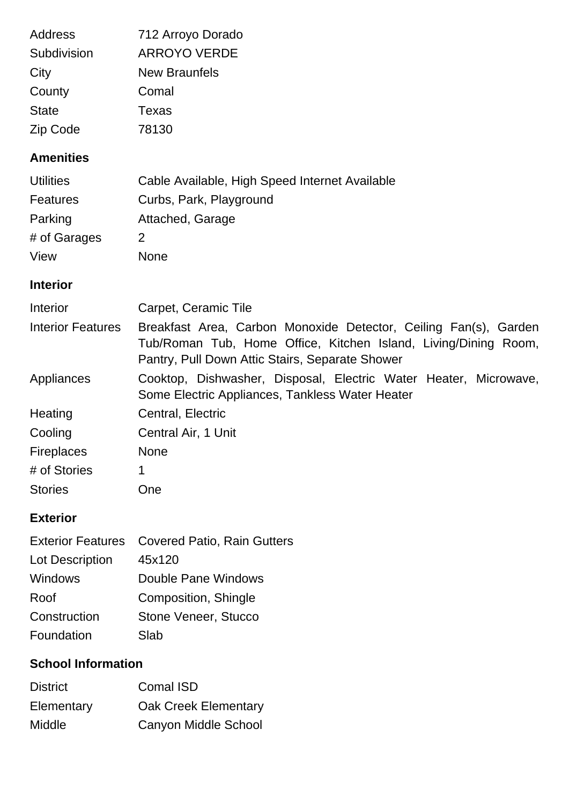| Address                  | 712 Arroyo Dorado                                                                                                                                                                      |
|--------------------------|----------------------------------------------------------------------------------------------------------------------------------------------------------------------------------------|
| Subdivision              | <b>ARROYO VERDE</b>                                                                                                                                                                    |
| City                     | <b>New Braunfels</b>                                                                                                                                                                   |
| County                   | Comal                                                                                                                                                                                  |
| <b>State</b>             | <b>Texas</b>                                                                                                                                                                           |
| Zip Code                 | 78130                                                                                                                                                                                  |
| <b>Amenities</b>         |                                                                                                                                                                                        |
| <b>Utilities</b>         | Cable Available, High Speed Internet Available                                                                                                                                         |
| <b>Features</b>          | Curbs, Park, Playground                                                                                                                                                                |
| Parking                  | Attached, Garage                                                                                                                                                                       |
| # of Garages             | 2                                                                                                                                                                                      |
| View                     | <b>None</b>                                                                                                                                                                            |
| <b>Interior</b>          |                                                                                                                                                                                        |
| Interior                 | Carpet, Ceramic Tile                                                                                                                                                                   |
| <b>Interior Features</b> | Breakfast Area, Carbon Monoxide Detector, Ceiling Fan(s), Garden<br>Tub/Roman Tub, Home Office, Kitchen Island, Living/Dining Room,<br>Pantry, Pull Down Attic Stairs, Separate Shower |
| Appliances               | Cooktop, Dishwasher, Disposal, Electric Water Heater, Microwave,<br>Some Electric Appliances, Tankless Water Heater                                                                    |
| Heating                  | Central, Electric                                                                                                                                                                      |
| Cooling                  | Central Air, 1 Unit                                                                                                                                                                    |
| <b>Fireplaces</b>        | None                                                                                                                                                                                   |
| # of Stories             | 1                                                                                                                                                                                      |
| <b>Stories</b>           | One                                                                                                                                                                                    |
| <b>Exterior</b>          |                                                                                                                                                                                        |

|                 | Exterior Features Covered Patio, Rain Gutters |
|-----------------|-----------------------------------------------|
| Lot Description | 45x120                                        |
| Windows         | Double Pane Windows                           |
| Roof            | Composition, Shingle                          |
| Construction    | Stone Veneer, Stucco                          |
| Foundation      | Slab                                          |

## **School Information**

| <b>District</b> | <b>Comal ISD</b>            |
|-----------------|-----------------------------|
| Elementary      | <b>Oak Creek Elementary</b> |
| Middle          | Canyon Middle School        |